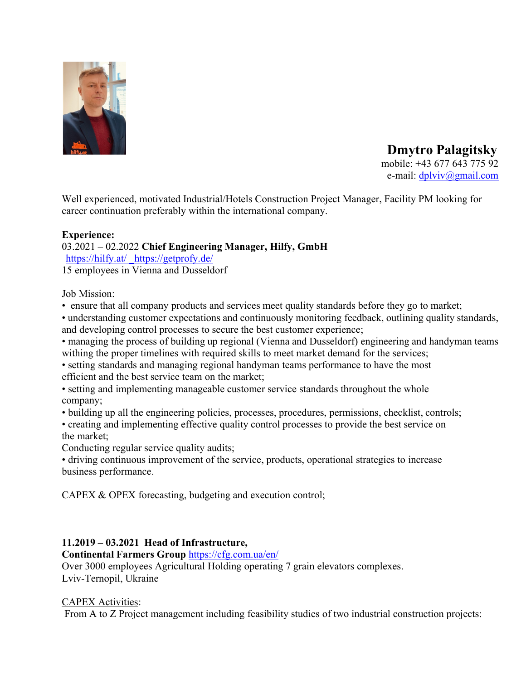

 **Dmytro Palagitsky** mobile: +43 677 643 775 92

e-mail: dplviv@gmail.com

Well experienced, motivated Industrial/Hotels Construction Project Manager, Facility PM looking for career continuation preferably within the international company.

#### **Experience:**

03.2021 – 02.2022 **Chief Engineering Manager, Hilfy, GmbH** https://hilfy.at/https://getprofy.de/

15 employees in Vienna and Dusseldorf

Job Mission:

• ensure that all company products and services meet quality standards before they go to market;

• understanding customer expectations and continuously monitoring feedback, outlining quality standards, and developing control processes to secure the best customer experience;

• managing the process of building up regional (Vienna and Dusseldorf) engineering and handyman teams withing the proper timelines with required skills to meet market demand for the services;

• setting standards and managing regional handyman teams performance to have the most efficient and the best service team on the market;

• setting and implementing manageable customer service standards throughout the whole company;

• building up all the engineering policies, processes, procedures, permissions, checklist, controls;

• creating and implementing effective quality control processes to provide the best service on the market;

Conducting regular service quality audits;

• driving continuous improvement of the service, products, operational strategies to increase business performance.

CAPEX & OPEX forecasting, budgeting and execution control;

### **11.2019 – 03.2021 Head of Infrastructure,**

**Continental Farmers Group** https://cfg.com.ua/en/ Over 3000 employees Agricultural Holding operating 7 grain elevators complexes. Lviv-Ternopil, Ukraine

### CAPEX Activities:

From A to Z Project management including feasibility studies of two industrial construction projects: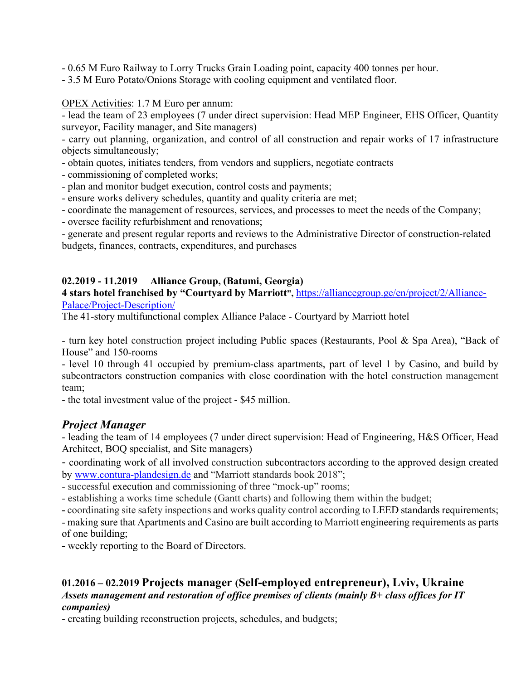- 0.65 M Euro Railway to Lorry Trucks Grain Loading point, capacity 400 tonnes per hour.

- 3.5 M Euro Potato/Onions Storage with cooling equipment and ventilated floor.

OPEX Activities: 1.7 M Euro per annum:

- lead the team of 23 employees (7 under direct supervision: Head MEP Engineer, EHS Officer, Quantity surveyor, Facility manager, and Site managers)

- carry out planning, organization, and control of all construction and repair works of 17 infrastructure objects simultaneously;

- obtain quotes, initiates tenders, from vendors and suppliers, negotiate contracts

- commissioning of completed works;

- plan and monitor budget execution, control costs and payments;

- ensure works delivery schedules, quantity and quality criteria are met;

- coordinate the management of resources, services, and processes to meet the needs of the Company;

- oversee facility refurbishment and renovations;

- generate and present regular reports and reviews to the Administrative Director of construction-related budgets, finances, contracts, expenditures, and purchases

# **02.2019 - 11.2019 Alliance Group, (Batumi, Georgia)**

**4 stars hotel franchised by "Courtyard by Marriott",** https://alliancegroup.ge/en/project/2/Alliance-Palace/Project-Description/

The 41-story multifunctional complex Alliance Palace - Courtyard by Marriott hotel

- turn key hotel construction project including Public spaces (Restaurants, Pool & Spa Area), "Back of House" and 150-rooms

- level 10 through 41 occupied by premium-class apartments, part of level 1 by Casino, and build by subcontractors construction companies with close coordination with the hotel construction management team;

- the total investment value of the project - \$45 million.

# *Project Manager*

- leading the team of 14 employees (7 under direct supervision: Head of Engineering, H&S Officer, Head Architect, BOQ specialist, and Site managers)

- coordinating work of all involved construction subcontractors according to the approved design created by www.contura-plandesign.de and "Marriott standards book 2018";

- successful execution and commissioning of three "mock-up" rooms;

- establishing a works time schedule (Gantt charts) and following them within the budget;

**-** coordinating site safety inspections and works quality control according to LEED standards requirements;

- making sure that Apartments and Casino are built according to Marriott engineering requirements as parts of one building;

**-** weekly reporting to the Board of Directors.

### **01.2016 – 02.2019 Projects manager (Self-employed entrepreneur), Lviv, Ukraine** *Assets management and restoration of office premises of clients (mainly B+ class offices for IT companies)*

- creating building reconstruction projects, schedules, and budgets;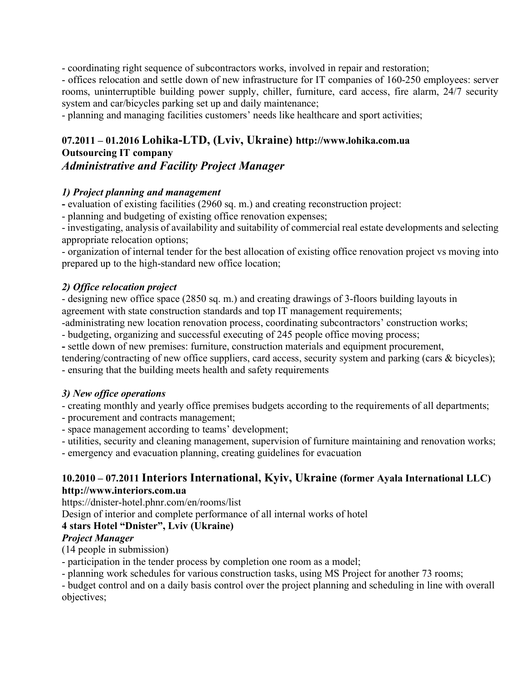- coordinating right sequence of subcontractors works, involved in repair and restoration;

- offices relocation and settle down of new infrastructure for IT companies of 160-250 employees: server rooms, uninterruptible building power supply, chiller, furniture, card access, fire alarm, 24/7 security system and car/bicycles parking set up and daily maintenance;

- planning and managing facilities customers' needs like healthcare and sport activities;

### **07.2011 – 01.2016 Lohika-LTD, (Lviv, Ukraine) http://www.lohika.com.ua Outsourcing IT company** *Administrative and Facility Project Manager*

### *1) Project planning and management*

**-** evaluation of existing facilities (2960 sq. m.) and creating reconstruction project:

- planning and budgeting of existing office renovation expenses;

- investigating, analysis of availability and suitability of commercial real estate developments and selecting appropriate relocation options;

- organization of internal tender for the best allocation of existing office renovation project vs moving into prepared up to the high-standard new office location;

### *2) Office relocation project*

- designing new office space (2850 sq. m.) and creating drawings of 3-floors building layouts in agreement with state construction standards and top IT management requirements;

-administrating new location renovation process, coordinating subcontractors' construction works;

- budgeting, organizing and successful executing of 245 people office moving process;

**-** settle down of new premises: furniture, construction materials and equipment procurement,

tendering/contracting of new office suppliers, card access, security system and parking (cars & bicycles); - ensuring that the building meets health and safety requirements

### *3) New office operations*

- creating monthly and yearly office premises budgets according to the requirements of all departments;

- procurement and contracts management;
- space management according to teams' development;

- utilities, security and cleaning management, supervision of furniture maintaining and renovation works;

- emergency and evacuation planning, creating guidelines for evacuation

### **10.2010 – 07.2011 Interiors International, Kyiv, Ukraine (former Ayala International LLC) http://www.interiors.com.ua**

https://dnister-hotel.phnr.com/en/rooms/list

Design of interior and complete performance of all internal works of hotel

### **4 stars Hotel "Dnister", Lviv (Ukraine)**

### *Project Manager*

(14 people in submission)

- participation in the tender process by completion one room as a model;

- planning work schedules for various construction tasks, using MS Project for another 73 rooms;

- budget control and on a daily basis control over the project planning and scheduling in line with overall objectives;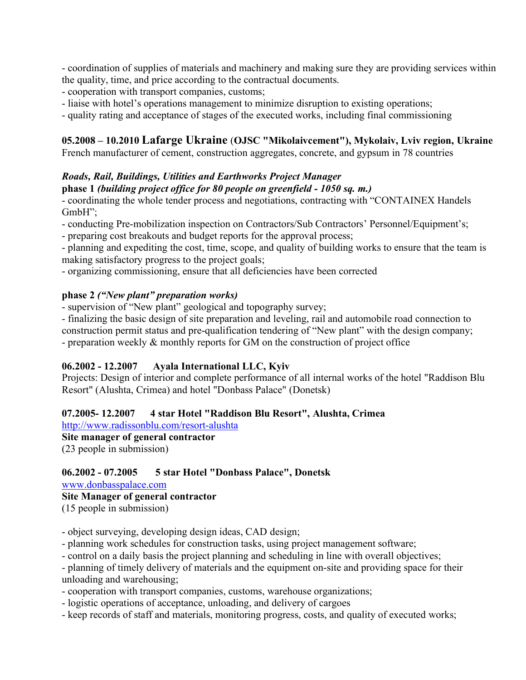- coordination of supplies of materials and machinery and making sure they are providing services within the quality, time, and price according to the contractual documents.

- cooperation with transport companies, customs;
- liaise with hotel's operations management to minimize disruption to existing operations;
- quality rating and acceptance of stages of the executed works, including final commissioning

### **05.2008 – 10.2010 Lafarge Ukraine** (**OJSC "Mikolaivcement"), Mykolaiv, Lviv region, Ukraine**

French manufacturer of cement, construction aggregates, concrete, and gypsum in 78 countries

### *Roads, Rail, Buildings, Utilities and Earthworks Project Manager*

### **phase 1** *(building project office for 80 people on greenfield - 1050 sq. m.)*

- coordinating the whole tender process and negotiations, contracting with "СONTAINEX Handels GmbH";

- conducting Pre-mobilization inspection on Contractors/Sub Contractors' Personnel/Equipment's;

- preparing cost breakouts and budget reports for the approval process;

- planning and expediting the cost, time, scope, and quality of building works to ensure that the team is making satisfactory progress to the project goals;

- organizing commissioning, ensure that all deficiencies have been corrected

#### **phase 2** *("New plant" preparation works)*

- supervision of "New plant" geological and topography survey;

- finalizing the basic design of site preparation and leveling, rail and automobile road connection to construction permit status and pre-qualification tendering of "New plant" with the design company;

- preparation weekly & monthly reports for GM on the construction of project office

### **06.2002 - 12.2007 Ayala International LLC, Kyiv**

Projects: Design of interior and complete performance of all internal works of the hotel "Raddison Blu Resort" (Alushta, Crimea) and hotel "Donbass Palace" (Donetsk)

### **07.2005- 12.2007 4 star Hotel "Raddison Blu Resort", Alushta, Crimea**

http://www.radissonblu.com/resort-alushta **Site manager of general contractor**

(23 people in submission)

### **06.2002 - 07.2005 5 star Hotel "Donbass Palace", Donetsk**

#### www.donbasspalace.com

**Site Manager of general contractor**

(15 people in submission)

- object surveying, developing design ideas, CAD design;

- planning work schedules for construction tasks, using project management software;

- control on a daily basis the project planning and scheduling in line with overall objectives;

- planning of timely delivery of materials and the equipment on-site and providing space for their unloading and warehousing;

- cooperation with transport companies, customs, warehouse organizations;

- logistic operations of acceptance, unloading, and delivery of cargoes

- keep records of staff and materials, monitoring progress, costs, and quality of executed works;